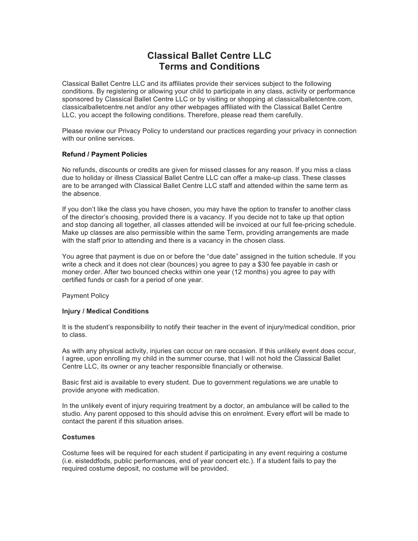# **Classical Ballet Centre LLC Terms and Conditions**

Classical Ballet Centre LLC and its affiliates provide their services subject to the following conditions. By registering or allowing your child to participate in any class, activity or performance sponsored by Classical Ballet Centre LLC or by visiting or shopping at classicalballetcentre.com, classicalballetcentre.net and/or any other webpages affiliated with the Classical Ballet Centre LLC, you accept the following conditions. Therefore, please read them carefully.

Please review our Privacy Policy to understand our practices regarding your privacy in connection with our online services.

# **Refund / Payment Policies**

No refunds, discounts or credits are given for missed classes for any reason. If you miss a class due to holiday or illness Classical Ballet Centre LLC can offer a make-up class. These classes are to be arranged with Classical Ballet Centre LLC staff and attended within the same term as the absence.

If you don't like the class you have chosen, you may have the option to transfer to another class of the director's choosing, provided there is a vacancy. If you decide not to take up that option and stop dancing all together, all classes attended will be invoiced at our full fee-pricing schedule. Make up classes are also permissible within the same Term, providing arrangements are made with the staff prior to attending and there is a vacancy in the chosen class.

You agree that payment is due on or before the "due date" assigned in the tuition schedule. If you write a check and it does not clear (bounces) you agree to pay a \$30 fee payable in cash or money order. After two bounced checks within one year (12 months) you agree to pay with certified funds or cash for a period of one year.

Payment Policy

# **Injury / Medical Conditions**

It is the student's responsibility to notify their teacher in the event of injury/medical condition, prior to class.

As with any physical activity, injuries can occur on rare occasion. If this unlikely event does occur, I agree, upon enrolling my child in the summer course, that I will not hold the Classical Ballet Centre LLC, its owner or any teacher responsible financially or otherwise.

Basic first aid is available to every student. Due to government regulations we are unable to provide anyone with medication.

In the unlikely event of injury requiring treatment by a doctor, an ambulance will be called to the studio. Any parent opposed to this should advise this on enrolment. Every effort will be made to contact the parent if this situation arises.

#### **Costumes**

Costume fees will be required for each student if participating in any event requiring a costume (i.e. eisteddfods, public performances, end of year concert etc.). If a student fails to pay the required costume deposit, no costume will be provided.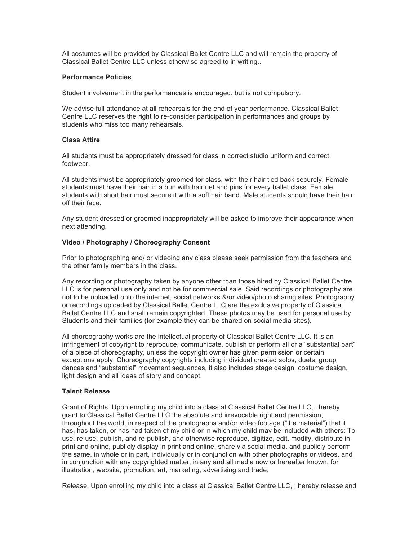All costumes will be provided by Classical Ballet Centre LLC and will remain the property of Classical Ballet Centre LLC unless otherwise agreed to in writing..

## **Performance Policies**

Student involvement in the performances is encouraged, but is not compulsory.

We advise full attendance at all rehearsals for the end of year performance. Classical Ballet Centre LLC reserves the right to re-consider participation in performances and groups by students who miss too many rehearsals.

#### **Class Attire**

All students must be appropriately dressed for class in correct studio uniform and correct footwear.

All students must be appropriately groomed for class, with their hair tied back securely. Female students must have their hair in a bun with hair net and pins for every ballet class. Female students with short hair must secure it with a soft hair band. Male students should have their hair off their face.

Any student dressed or groomed inappropriately will be asked to improve their appearance when next attending.

### **Video / Photography / Choreography Consent**

Prior to photographing and/ or videoing any class please seek permission from the teachers and the other family members in the class.

Any recording or photography taken by anyone other than those hired by Classical Ballet Centre LLC is for personal use only and not be for commercial sale. Said recordings or photography are not to be uploaded onto the internet, social networks &/or video/photo sharing sites. Photography or recordings uploaded by Classical Ballet Centre LLC are the exclusive property of Classical Ballet Centre LLC and shall remain copyrighted. These photos may be used for personal use by Students and their families (for example they can be shared on social media sites).

All choreography works are the intellectual property of Classical Ballet Centre LLC. It is an infringement of copyright to reproduce, communicate, publish or perform all or a "substantial part" of a piece of choreography, unless the copyright owner has given permission or certain exceptions apply. Choreography copyrights including individual created solos, duets, group dances and "substantial" movement sequences, it also includes stage design, costume design, light design and all ideas of story and concept.

# **Talent Release**

Grant of Rights. Upon enrolling my child into a class at Classical Ballet Centre LLC, I hereby grant to Classical Ballet Centre LLC the absolute and irrevocable right and permission, throughout the world, in respect of the photographs and/or video footage ("the material") that it has, has taken, or has had taken of my child or in which my child may be included with others: To use, re-use, publish, and re-publish, and otherwise reproduce, digitize, edit, modify, distribute in print and online, publicly display in print and online, share via social media, and publicly perform the same, in whole or in part, individually or in conjunction with other photographs or videos, and in conjunction with any copyrighted matter, in any and all media now or hereafter known, for illustration, website, promotion, art, marketing, advertising and trade.

Release. Upon enrolling my child into a class at Classical Ballet Centre LLC, I hereby release and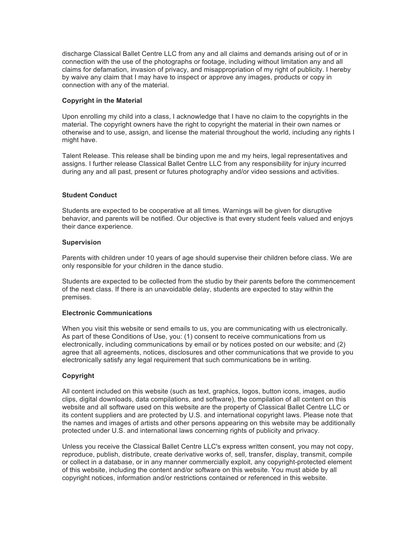discharge Classical Ballet Centre LLC from any and all claims and demands arising out of or in connection with the use of the photographs or footage, including without limitation any and all claims for defamation, invasion of privacy, and misappropriation of my right of publicity. I hereby by waive any claim that I may have to inspect or approve any images, products or copy in connection with any of the material.

# **Copyright in the Material**

Upon enrolling my child into a class, I acknowledge that I have no claim to the copyrights in the material. The copyright owners have the right to copyright the material in their own names or otherwise and to use, assign, and license the material throughout the world, including any rights I might have.

Talent Release. This release shall be binding upon me and my heirs, legal representatives and assigns. I further release Classical Ballet Centre LLC from any responsibility for injury incurred during any and all past, present or futures photography and/or video sessions and activities.

# **Student Conduct**

Students are expected to be cooperative at all times. Warnings will be given for disruptive behavior, and parents will be notified. Our objective is that every student feels valued and enjoys their dance experience.

# **Supervision**

Parents with children under 10 years of age should supervise their children before class. We are only responsible for your children in the dance studio.

Students are expected to be collected from the studio by their parents before the commencement of the next class. If there is an unavoidable delay, students are expected to stay within the premises.

# **Electronic Communications**

When you visit this website or send emails to us, you are communicating with us electronically. As part of these Conditions of Use, you: (1) consent to receive communications from us electronically, including communications by email or by notices posted on our website; and (2) agree that all agreements, notices, disclosures and other communications that we provide to you electronically satisfy any legal requirement that such communications be in writing.

# **Copyright**

All content included on this website (such as text, graphics, logos, button icons, images, audio clips, digital downloads, data compilations, and software), the compilation of all content on this website and all software used on this website are the property of Classical Ballet Centre LLC or its content suppliers and are protected by U.S. and international copyright laws. Please note that the names and images of artists and other persons appearing on this website may be additionally protected under U.S. and international laws concerning rights of publicity and privacy.

Unless you receive the Classical Ballet Centre LLC's express written consent, you may not copy, reproduce, publish, distribute, create derivative works of, sell, transfer, display, transmit, compile or collect in a database, or in any manner commercially exploit, any copyright-protected element of this website, including the content and/or software on this website. You must abide by all copyright notices, information and/or restrictions contained or referenced in this website.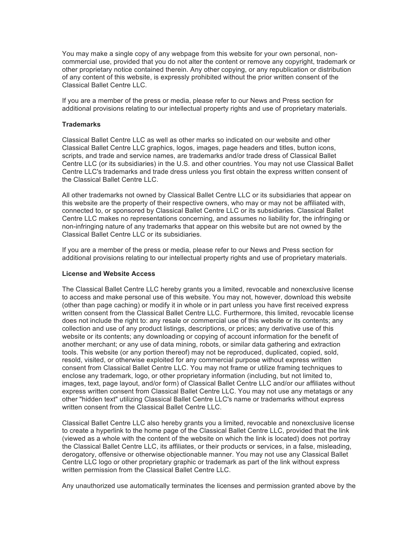You may make a single copy of any webpage from this website for your own personal, noncommercial use, provided that you do not alter the content or remove any copyright, trademark or other proprietary notice contained therein. Any other copying, or any republication or distribution of any content of this website, is expressly prohibited without the prior written consent of the Classical Ballet Centre LLC.

If you are a member of the press or media, please refer to our News and Press section for additional provisions relating to our intellectual property rights and use of proprietary materials.

#### **Trademarks**

Classical Ballet Centre LLC as well as other marks so indicated on our website and other Classical Ballet Centre LLC graphics, logos, images, page headers and titles, button icons, scripts, and trade and service names, are trademarks and/or trade dress of Classical Ballet Centre LLC (or its subsidiaries) in the U.S. and other countries. You may not use Classical Ballet Centre LLC's trademarks and trade dress unless you first obtain the express written consent of the Classical Ballet Centre LLC.

All other trademarks not owned by Classical Ballet Centre LLC or its subsidiaries that appear on this website are the property of their respective owners, who may or may not be affiliated with, connected to, or sponsored by Classical Ballet Centre LLC or its subsidiaries. Classical Ballet Centre LLC makes no representations concerning, and assumes no liability for, the infringing or non-infringing nature of any trademarks that appear on this website but are not owned by the Classical Ballet Centre LLC or its subsidiaries.

If you are a member of the press or media, please refer to our News and Press section for additional provisions relating to our intellectual property rights and use of proprietary materials.

#### **License and Website Access**

The Classical Ballet Centre LLC hereby grants you a limited, revocable and nonexclusive license to access and make personal use of this website. You may not, however, download this website (other than page caching) or modify it in whole or in part unless you have first received express written consent from the Classical Ballet Centre LLC. Furthermore, this limited, revocable license does not include the right to: any resale or commercial use of this website or its contents; any collection and use of any product listings, descriptions, or prices; any derivative use of this website or its contents; any downloading or copying of account information for the benefit of another merchant; or any use of data mining, robots, or similar data gathering and extraction tools. This website (or any portion thereof) may not be reproduced, duplicated, copied, sold, resold, visited, or otherwise exploited for any commercial purpose without express written consent from Classical Ballet Centre LLC. You may not frame or utilize framing techniques to enclose any trademark, logo, or other proprietary information (including, but not limited to, images, text, page layout, and/or form) of Classical Ballet Centre LLC and/or our affiliates without express written consent from Classical Ballet Centre LLC. You may not use any metatags or any other "hidden text" utilizing Classical Ballet Centre LLC's name or trademarks without express written consent from the Classical Ballet Centre LLC.

Classical Ballet Centre LLC also hereby grants you a limited, revocable and nonexclusive license to create a hyperlink to the home page of the Classical Ballet Centre LLC, provided that the link (viewed as a whole with the content of the website on which the link is located) does not portray the Classical Ballet Centre LLC, its affiliates, or their products or services, in a false, misleading, derogatory, offensive or otherwise objectionable manner. You may not use any Classical Ballet Centre LLC logo or other proprietary graphic or trademark as part of the link without express written permission from the Classical Ballet Centre LLC.

Any unauthorized use automatically terminates the licenses and permission granted above by the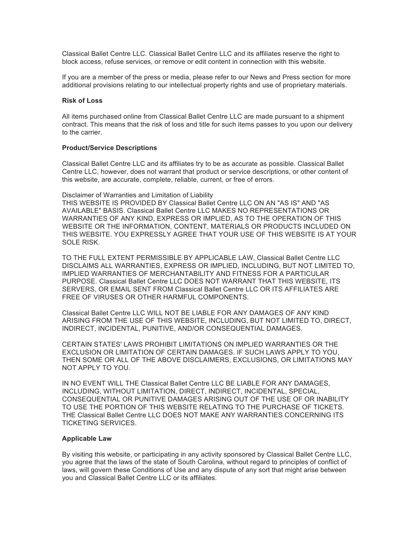Classical Ballet Centre LLC. Classical Ballet Centre LLC and its affiliates reserve the right to block access, refuse services, or remove or edit content in connection with this website.

If you are a member of the press or media, please refer to our News and Press section for more additional provisions relating to our intellectual property rights and use of proprietary materials.

#### **Risk of Loss**

All items purchased online from Classical Ballet Centre LLC are made pursuant to a shipment contract. This means that the risk of loss and title for such items passes to you upon our delivery to the carrier.

#### **Product/Service Descriptions**

Classical Ballet Centre LLC and its affiliates try to be as accurate as possible. Classical Ballet Centre LLC, however, does not warrant that product or service descriptions, or other content of this website, are accurate, complete, reliable, current, or free of errors.

Disclaimer of Warranties and Limitation of Liability

THIS WEBSITE IS PROVIDED BY Classical Ballet Centre LLC ON AN "AS IS" AND "AS AVAILABLE" BASIS. Classical Ballet Centre LLC MAKES NO REPRESENTATIONS OR WARRANTIES OF ANY KIND, EXPRESS OR IMPLIED, AS TO THE OPERATION OF THIS WEBSITE OR THE INFORMATION, CONTENT, MATERIALS OR PRODUCTS INCLUDED ON THIS WEBSITE. YOU EXPRESSLY AGREE THAT YOUR USE OF THIS WEBSITE IS AT YOUR SOLE RISK.

TO THE FULL EXTENT PERMISSIBLE BY APPLICABLE LAW, Classical Ballet Centre LLC DISCLAIMS ALL WARRANTIES, EXPRESS OR IMPLIED, INCLUDING, BUT NOT LIMITED TO, IMPLIED WARRANTIES OF MERCHANTABILITY AND FITNESS FOR A PARTICULAR PURPOSE. Classical Ballet Centre LLC DOES NOT WARRANT THAT THIS WEBSITE, ITS SERVERS, OR EMAIL SENT FROM Classical Ballet Centre LLC OR ITS AFFILIATES ARE FREE OF VIRUSES OR OTHER HARMFUL COMPONENTS.

Classical Ballet Centre LLC WILL NOT BE LIABLE FOR ANY DAMAGES OF ANY KIND ARISING FROM THE USE OF THIS WEBSITE, INCLUDING, BUT NOT LIMITED TO, DIRECT, INDIRECT, INCIDENTAL, PUNITIVE, AND/OR CONSEQUENTIAL DAMAGES.

CERTAIN STATES' LAWS PROHIBIT LIMITATIONS ON IMPLIED WARRANTIES OR THE EXCLUSION OR LIMITATION OF CERTAIN DAMAGES. IF SUCH LAWS APPLY TO YOU, THEN SOME OR ALL OF THE ABOVE DISCLAIMERS, EXCLUSIONS, OR LIMITATIONS MAY NOT APPLY TO YOU.

IN NO EVENT WILL THE Classical Ballet Centre LLC BE LIABLE FOR ANY DAMAGES, INCLUDING, WITHOUT LIMITATION, DIRECT, INDIRECT, INCIDENTAL, SPECIAL, CONSEQUENTIAL OR PUNITIVE DAMAGES ARISING OUT OF THE USE OF OR INABILITY TO USE THE PORTION OF THIS WEBSITE RELATING TO THE PURCHASE OF TICKETS. THE Classical Ballet Centre LLC DOES NOT MAKE ANY WARRANTIES CONCERNING ITS TICKETING SERVICES.

## **Applicable Law**

By visiting this website, or participating in any activity sponsored by Classical Ballet Centre LLC, you agree that the laws of the state of South Carolina, without regard to principles of conflict of laws, will govern these Conditions of Use and any dispute of any sort that might arise between you and Classical Ballet Centre LLC or its affiliates.